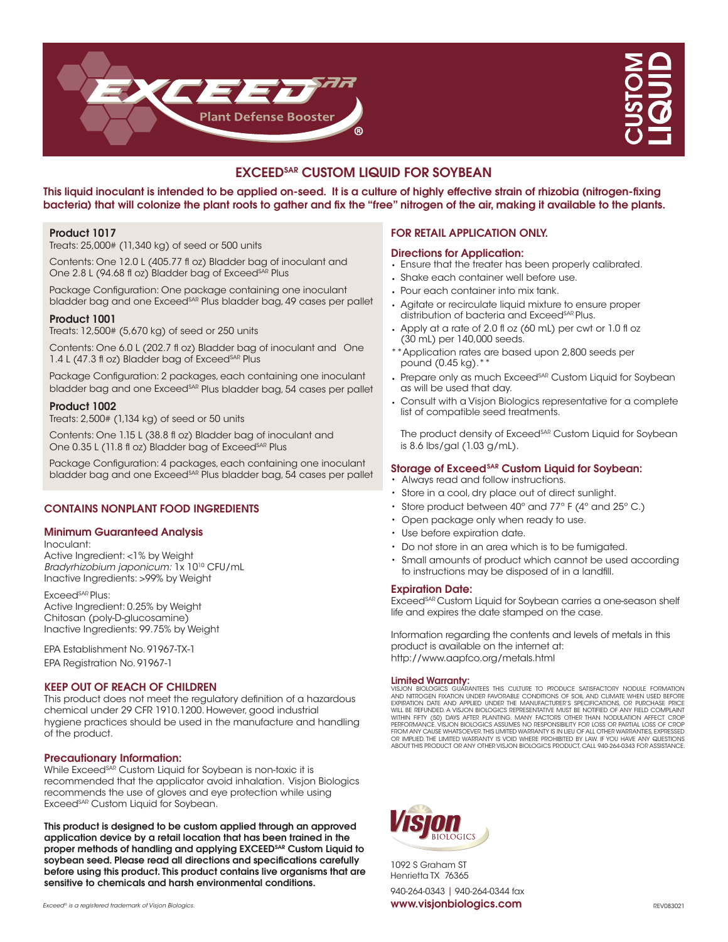



# EXCEEDSAR CUSTOM LIQUID FOR SOYBEAN

This liquid inoculant is intended to be applied on-seed. It is a culture of highly effective strain of rhizobia (nitrogen-fixing bacteria) that will colonize the plant roots to gather and fix the "free" nitrogen of the air, making it available to the plants.

# Product 1017

Treats: 25,000# (11,340 kg) of seed or 500 units

Contents: One 12.0 L (405.77 fl oz) Bladder bag of inoculant and One 2.8 L (94.68 fl oz) Bladder bag of Exceed<sup>SAR</sup> Plus

Package Configuration: One package containing one inoculant bladder bag and one Exceed<sup>SAR</sup> Plus bladder bag, 49 cases per pallet

# Product 1001

Treats: 12,500# (5,670 kg) of seed or 250 units

Contents: One 6.0 L (202.7 fl oz) Bladder bag of inoculant and One 1.4 L (47.3 fl oz) Bladder bag of Exceed<sup>SAR</sup> Plus

Package Configuration: 2 packages, each containing one inoculant bladder bag and one Exceed<sup>SAR</sup> Plus bladder bag, 54 cases per pallet

# Product 1002

Treats: 2,500# (1,134 kg) of seed or 50 units

Contents: One 1.15 L (38.8 fl oz) Bladder bag of inoculant and One 0.35 L (11.8 fl oz) Bladder bag of Exceed<sup>SAR</sup> Plus

Package Configuration: 4 packages, each containing one inoculant bladder bag and one Exceed<sup>sAR</sup> Plus bladder bag, 54 cases per pallet

# CONTAINS NONPLANT FOOD INGREDIENTS

## Minimum Guaranteed Analysis

Inoculant:

Active Ingredient: <1% by Weight Bradyrhizobium japonicum: 1x 10<sup>10</sup> CFU/mL Inactive Ingredients: >99% by Weight

Exceed<sup>sAR</sup> Plus: Active Ingredient: 0.25% by Weight Chitosan (poly-D-glucosamine) Inactive Ingredients: 99.75% by Weight

EPA Establishment No. 91967-TX-1 EPA Registration No. 91967-1

# KEEP OUT OF REACH OF CHILDREN

This product does not meet the regulatory definition of a hazardous chemical under 29 CFR 1910.1200. However, good industrial hygiene practices should be used in the manufacture and handling of the product.

# Precautionary Information:

While Exceed<sup>sAR</sup> Custom Liquid for Soybean is non-toxic it is recommended that the applicator avoid inhalation. Visjon Biologics recommends the use of gloves and eye protection while using Exceed<sup>SAR</sup> Custom Liquid for Soybean.

This product is designed to be custom applied through an approved application device by a retail location that has been trained in the proper methods of handling and applying EXCEED<sup>SAR</sup> Custom Liquid to soybean seed. Please read all directions and specifications carefully before using this product. This product contains live organisms that are sensitive to chemicals and harsh environmental conditions.

# FOR RETAIL APPLICATION ONLY.

## Directions for Application:

- Ensure that the treater has been properly calibrated.
- Shake each container well before use.
- Pour each container into mix tank.
- Agitate or recirculate liquid mixture to ensure proper distribution of bacteria and Exceed<sup>SAR</sup> Plus.
- Apply at a rate of 2.0 fl oz (60 mL) per cwt or 1.0 fl oz (30 mL) per 140,000 seeds.
- \*\*Application rates are based upon 2,800 seeds per pound  $(0.45 \text{ kg})$ .
- Prepare only as much Exceed<sup>SAR</sup> Custom Liquid for Soybean as will be used that day.
- Consult with a Visjon Biologics representative for a complete list of compatible seed treatments.

The product density of Exceed<sup>SAR</sup> Custom Liquid for Soybean is 8.6 lbs/gal (1.03 g/mL).

# Storage of Exceed<sup>SAR</sup> Custom Liquid for Soybean:

- Always read and follow instructions.
- Store in a cool, dry place out of direct sunlight.
- Store product between 40º and 77º F (4º and 25º C.)
- Open package only when ready to use.
- Use before expiration date.
- Do not store in an area which is to be fumigated.
- Small amounts of product which cannot be used according to instructions may be disposed of in a landfill.

## Expiration Date:

Exceed<sup>SAR</sup> Custom Liquid for Soybean carries a one-season shelf life and expires the date stamped on the case.

Information regarding the contents and levels of metals in this product is available on the internet at: http://www.aapfco.org/metals.html

**Limited Warranty:**<br>visjon biologics guarantees this culture to produce satisfactory nodule formation AND NITROGEN FIXATION UNDER FAVORABLE CONDITIONS OF SOIL AND CLIMATE WHEN USED BEFORE<br>EXPIRATION DATE AND APPLIED UNDER THE MANUFACTUREI'S SPECIFICATIONS, OR PURCHASE PRICE<br>WILL BE REFUNDED. A VISJON BIOLOGICS REPRESENTATI WITHIN FIFTY (50) DAYS AFTER PLANTING. MANY FACTORS OTHER THAN NODULATION AFFECT CROP<br>PERFORMANCE. VISJON BIOLOGICS ASSUMES NO RESPONSIBILITY FOR LOSS OR PARTIAL LOSS OF CROP<br>FROM ANY CAUSE WHATSOEVER.THIS LIMITED WARRANTY ABOUT THIS PRODUCT OR ANY OTHER VISJON BIOLOGICS PRODUCT, CALL 940-264-0343 FOR ASSISTANCE.



1092 S Graham ST Henrietta TX 76365

940-264-0343 | 940-264-0344 fax Exceed® is a registered trademark of Visjon Biologics. www.visjonbiologics.com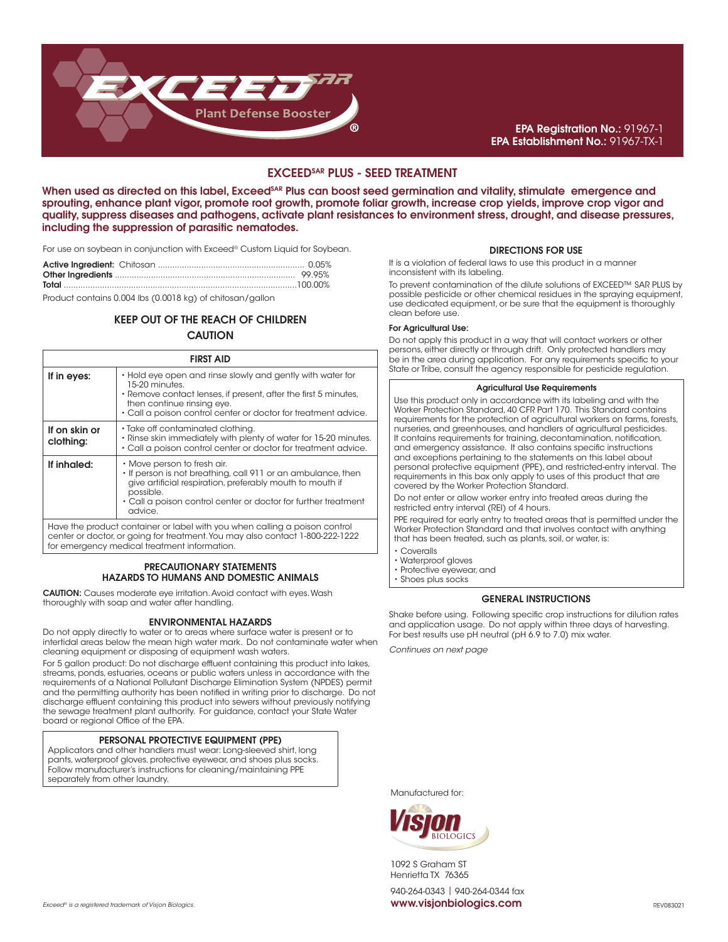

# EPA Registration No.: 91967-1 EPA Establishment No.: 91967-TX-1

# EXCEEDSAR PLUS - SEED TREATMENT

When used as directed on this label, Exceed<sup>SAR</sup> Plus can boost seed germination and vitality, stimulate emergence and sprouting, enhance plant vigor, promote root growth, promote foliar growth, increase crop yields, improve crop vigor and quality, suppress diseases and pathogens, activate plant resistances to environment stress, drought, and disease pressures, including the suppression of parasitic nematodes.

For use on soybean in conjunction with Exceed® Custom Liquid for Soybean.

Product contains 0.004 lbs (0.0018 kg) of chitosan/gallon

# KEEP OUT OF THE REACH OF CHILDREN **CAUTION**

| <b>FIRST AID</b>           |                                                                                                                                                                                                                                                    |  |
|----------------------------|----------------------------------------------------------------------------------------------------------------------------------------------------------------------------------------------------------------------------------------------------|--|
| If in eyes:                | • Hold eye open and rinse slowly and gently with water for<br>15-20 minutes.<br>• Remove contact lenses, if present, after the first 5 minutes,<br>then continue rinsing eye.<br>• Call a poison control center or doctor for treatment advice.    |  |
| If on skin or<br>clothing: | • Take off contaminated clothing.<br>• Rinse skin immediately with plenty of water for 15-20 minutes.<br>• Call a poison control center or doctor for treatment advice.                                                                            |  |
| If inhaled:                | • Move person to fresh air.<br>• If person is not breathing, call 911 or an ambulance, then<br>give artificial respiration, preferably mouth to mouth if<br>possible.<br>• Call a poison control center or doctor for further treatment<br>advice. |  |

Have the product container or label with you when calling a poison control center or doctor, or going for treatment. You may also contact 1-800-222-1222 for emergency medical treatment information.

## PRECAUTIONARY STATEMENTS HAZARDS TO HUMANS AND DOMESTIC ANIMALS

CAUTION: Causes moderate eye irritation. Avoid contact with eyes. Wash thoroughly with soap and water after handling.

## ENVIRONMENTAL HAZARDS

Do not apply directly to water or to areas where surface water is present or to intertidal areas below the mean high water mark. Do not contaminate water when cleaning equipment or disposing of equipment wash waters.

For 5 gallon product: Do not discharge effluent containing this product into lakes, streams, ponds, estuaries, oceans or public waters unless in accordance with the requirements of a National Pollutant Discharge Elimination System (NPDES) permit and the permitting authority has been notified in writing prior to discharge. Do not discharge effluent containing this product into sewers without previously notifying the sewage treatment plant authority. For guidance, contact your State Water board or regional Office of the EPA.

## PERSONAL PROTECTIVE EQUIPMENT (PPE)

Applicators and other handlers must wear: Long-sleeved shirt, long pants, waterproof gloves, protective eyewear, and shoes plus socks. Follow manufacturer's instructions for cleaning/maintaining PPE separately from other laundry.

## DIRECTIONS FOR USE

It is a violation of federal laws to use this product in a manner inconsistent with its labeling.

To prevent contamination of the dilute solutions of EXCEED™ SAR PLUS by possible pesticide or other chemical residues in the spraying equipment, use dedicated equipment, or be sure that the equipment is thoroughly clean before use.

#### For Agricultural Use:

Do not apply this product in a way that will contact workers or other persons, either directly or through drift. Only protected handlers may be in the area during application. For any requirements specific to your State or Tribe, consult the agency responsible for pesticide regulation.

# Agricultural Use Requirements

Use this product only in accordance with its labeling and with the Worker Protection Standard, 40 CFR Part 170. This Standard contains requirements for the protection of agricultural workers on farms, forests, nurseries, and greenhouses, and handlers of agricultural pesticides. It contains requirements for training, decontamination, notification, and emergency assistance. It also contains specific instructions and exceptions pertaining to the statements on this label about personal protective equipment (PPE), and restricted-entry interval. The requirements in this box only apply to uses of this product that are covered by the Worker Protection Standard.

Do not enter or allow worker entry into treated areas during the restricted entry interval (REI) of 4 hours.

PPE required for early entry to treated areas that is permitted under the Worker Protection Standard and that involves contact with anything that has been treated, such as plants, soil, or water, is:

• Coveralls

- Waterproof gloves
- Protective eyewear, and • Shoes plus socks
- 

## GENERAL INSTRUCTIONS

Shake before using. Following specific crop instructions for dilution rates and application usage. Do not apply within three days of harvesting. For best results use pH neutral (pH 6.9 to 7.0) mix water.

Continues on next page

Manufactured for:



1092 S Graham ST Henrietta TX 76365

940-264-0343 | 940-264-0344 fax Exceed® is a registered trademark of Visjon Biologics. www.visjonbiologics.com